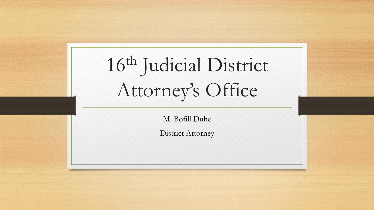# 16th Judicial District Attorney's Office

M. Bofill Duhe

District Attorney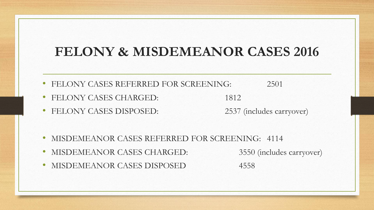#### **FELONY & MISDEMEANOR CASES 2016**

- FELONY CASES REFERRED FOR SCREENING: 2501
- FELONY CASES CHARGED: 1812
- FELONY CASES DISPOSED: 2537 (includes carryover)

- MISDEMEANOR CASES REFERRED FOR SCREENING: 4114
- MISDEMEANOR CASES CHARGED: 3550 (includes carryover)

• MISDEMEANOR CASES DISPOSED 4558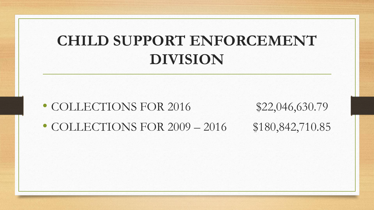## **CHILD SUPPORT ENFORCEMENT DIVISION**

- COLLECTIONS FOR 2016 \$22,046,630.79
- COLLECTIONS FOR 2009 2016 \$180,842,710.85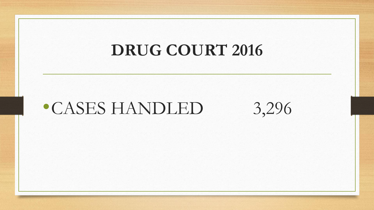## **DRUG COURT 2016**

## •CASES HANDLED 3,296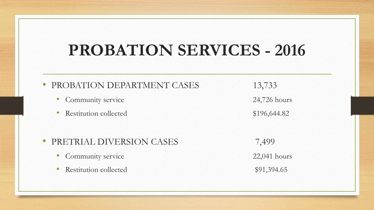## **PROBATION SERVICES - 2016**

#### • PROBATION DEPARTMENT CASES 13,733

- Community service 24,726 hours
- Restitution collected \$196,644.82

#### • PRETRIAL DIVERSION CASES 7,499

- Community service 22,041 hours
- Restitution collected \$91,394.65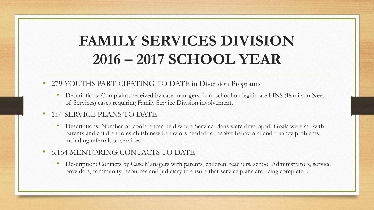## **FAMILY SERVICES DIVISION 2016 – 2017 SCHOOL YEAR**

- 279 YOUTHS PARTICIPATING TO DATE in Diversion Programs
	- Descriptions: Complaints received by case managers from school on legitimate FINS (Family in Need of Services) cases requiring Family Service Division involvement.

#### • 154 SERVICE PLANS TO DATE

- Descriptions: Number of conferences held where Service Plans were developed. Goals were set with parents and children to establish new behaviors needed to resolve behavioral and truancy problems, including referrals to services.
- 6,164 MENTORING CONTACTS TO DATE
	- Description: Contacts by Case Managers with parents, children, teachers, school Administrators, service providers, community resources and judiciary to ensure that service plans are being completed.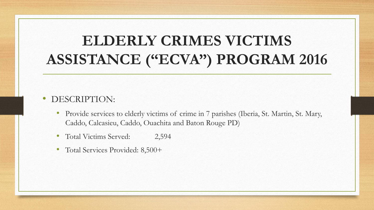## **ELDERLY CRIMES VICTIMS ASSISTANCE ("ECVA") PROGRAM 2016**

- DESCRIPTION:
	- Provide services to elderly victims of crime in 7 parishes (Iberia, St. Martin, St. Mary, Caddo, Calcasieu, Caddo, Ouachita and Baton Rouge PD)
	- Total Victims Served: 2,594
	- Total Services Provided: 8,500+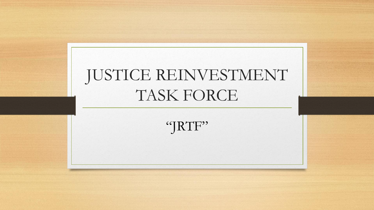

"JRTF"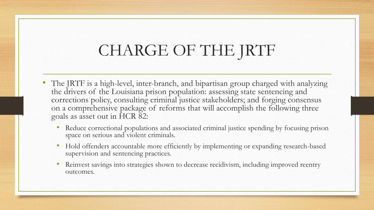## CHARGE OF THE JRTF

- The JRTF is a high-level, inter-branch, and bipartisan group charged with analyzing the drivers of the Louisiana prison population: assessing state sentencing and corrections policy, consulting criminal justice stakeholders; and forging consensus on a comprehensive package of reforms that will accomplish the following three goals as asset out in HCR 82:
	- Reduce correctional populations and associated criminal justice spending by focusing prison space on serious and violent criminals.
	- Hold offenders accountable more efficiently by implementing or expanding research-based supervision and sentencing practices.
	- Reinvest savings into strategies shown to decrease recidivism, including improved reentry outcomes.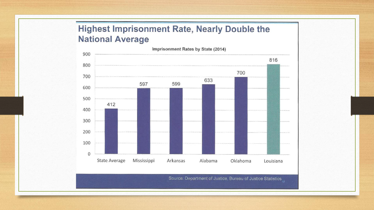#### Highest Imprisonment Rate, Nearly Double the **National Average**

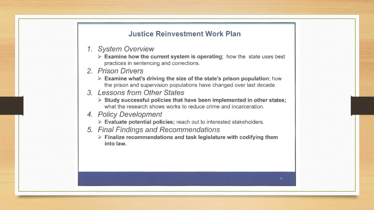#### **Justice Reinvestment Work Plan**

- 1. System Overview
	- $\triangleright$  Examine how the current system is operating; how the state uses best practices in sentencing and corrections.
- 2. Prison Drivers
	- $\triangleright$  Examine what's driving the size of the state's prison population; how the prison and supervision populations have changed over last decade.
- 3. Lessons from Other States
	- > Study successful policies that have been implemented in other states; what the research shows works to reduce crime and incarceration.
- 4. Policy Development
	- $\triangleright$  Evaluate potential policies; reach out to interested stakeholders.
- 5. Final Findings and Recommendations
	- $\triangleright$  Finalize recommendations and task legislature with codifying them into law.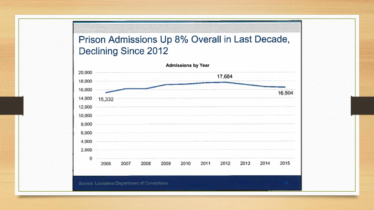#### Prison Admissions Up 8% Overall in Last Decade, **Declining Since 2012**

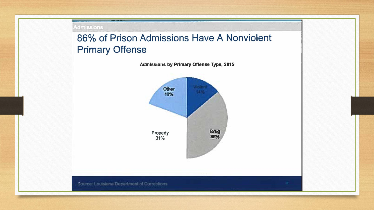#### **Admissions**

86% of Prison Admissions Have A Nonviolent **Primary Offense** 

Admissions by Primary Offense Type, 2015

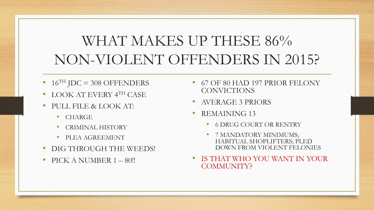## WHAT MAKES UP THESE 86% NON-VIOLENT OFFENDERS IN 2015?

- $16$ <sup>TH</sup> JDC = 308 OFFENDERS
- LOOK AT EVERY 4TH CASE
- PULL FILE & LOOK AT:
	- CHARGE
	- CRIMINAL HISTORY
	- PLEA AGREEMENT
- DIG THROUGH THE WEEDS!
- PICK A NUMBER 1 80!!
- 67 OF 80 HAD 197 PRIOR FELONY **CONVICTIONS**
- AVERAGE 3 PRIORS
- REMAINING 13
	- 6 DRUG COURT OR RENTRY
	- 7 MANDATORY MINIMUMS; HABITUAL SHOPLIFTERS; PLED DOWN FROM VIOLENT FELONIES
- IS THAT WHO YOU WANT IN YOUR COMMUNITY?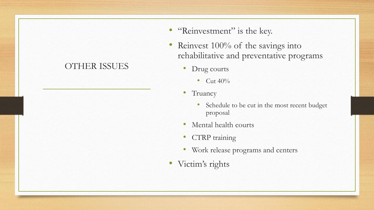#### OTHER ISSUES

- "Reinvestment" is the key.
- Reinvest 100% of the savings into rehabilitative and preventative programs
	- Drug courts
		- Cut  $40\%$
	- Truancy
		- Schedule to be cut in the most recent budget proposal
	- Mental health courts
	- CTRP training
	- Work release programs and centers
- Victim's rights